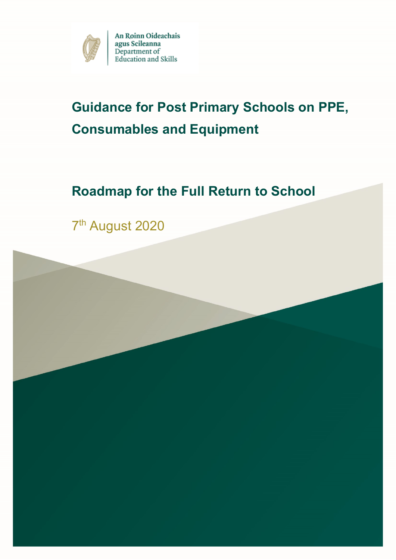

# **Guidance for Post Primary Schools on PPE, Consumables and Equipment**

# **Roadmap for the Full Return to School**

7<sup>th</sup> August 2020

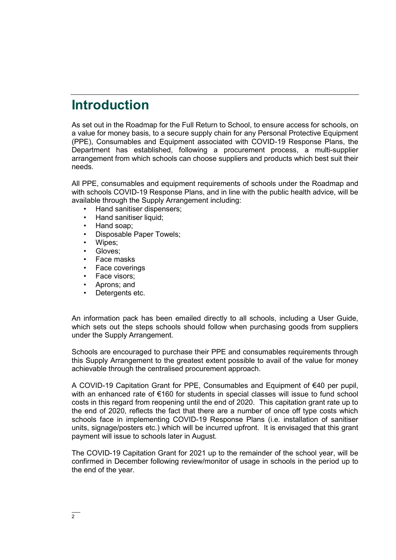## **Introduction**

As set out in the Roadmap for the Full Return to School, to ensure access for schools, on a value for money basis, to a secure supply chain for any Personal Protective Equipment (PPE), Consumables and Equipment associated with COVID-19 Response Plans, the Department has established, following a procurement process, a multi-supplier arrangement from which schools can choose suppliers and products which best suit their needs.

All PPE, consumables and equipment requirements of schools under the Roadmap and with schools COVID-19 Response Plans, and in line with the public health advice, will be available through the Supply Arrangement including:

- Hand sanitiser dispensers;
- Hand sanitiser liquid;
- Hand soap;
- Disposable Paper Towels;
- Wipes;
- Gloves:
- Face masks
- Face coverings
- Face visors;
- Aprons; and
- Detergents etc.

An information pack has been emailed directly to all schools, including a User Guide, which sets out the steps schools should follow when purchasing goods from suppliers under the Supply Arrangement.

Schools are encouraged to purchase their PPE and consumables requirements through this Supply Arrangement to the greatest extent possible to avail of the value for money achievable through the centralised procurement approach.

A COVID-19 Capitation Grant for PPE, Consumables and Equipment of €40 per pupil, with an enhanced rate of €160 for students in special classes will issue to fund school costs in this regard from reopening until the end of 2020. This capitation grant rate up to the end of 2020, reflects the fact that there are a number of once off type costs which schools face in implementing COVID-19 Response Plans (i.e. installation of sanitiser units, signage/posters etc.) which will be incurred upfront. It is envisaged that this grant payment will issue to schools later in August.

The COVID-19 Capitation Grant for 2021 up to the remainder of the school year, will be confirmed in December following review/monitor of usage in schools in the period up to the end of the year.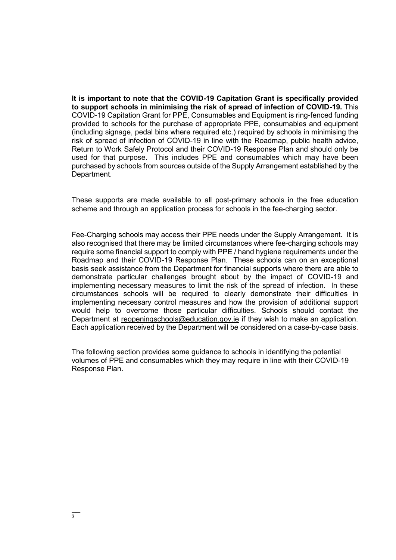**It is important to note that the COVID-19 Capitation Grant is specifically provided to support schools in minimising the risk of spread of infection of COVID-19.** This COVID-19 Capitation Grant for PPE, Consumables and Equipment is ring-fenced funding provided to schools for the purchase of appropriate PPE, consumables and equipment (including signage, pedal bins where required etc.) required by schools in minimising the risk of spread of infection of COVID-19 in line with the Roadmap, public health advice, Return to Work Safely Protocol and their COVID-19 Response Plan and should only be used for that purpose. This includes PPE and consumables which may have been purchased by schools from sources outside of the Supply Arrangement established by the Department.

These supports are made available to all post-primary schools in the free education scheme and through an application process for schools in the fee-charging sector.

Fee-Charging schools may access their PPE needs under the Supply Arrangement. It is also recognised that there may be limited circumstances where fee-charging schools may require some financial support to comply with PPE / hand hygiene requirements under the Roadmap and their COVID-19 Response Plan. These schools can on an exceptional basis seek assistance from the Department for financial supports where there are able to demonstrate particular challenges brought about by the impact of COVID-19 and implementing necessary measures to limit the risk of the spread of infection. In these circumstances schools will be required to clearly demonstrate their difficulties in implementing necessary control measures and how the provision of additional support would help to overcome those particular difficulties. Schools should contact the Department at [reopeningschools@education.gov.ie](mailto:reopeningschools@education.gov.ie) if they wish to make an application. Each application received by the Department will be considered on a case-by-case basis.

The following section provides some guidance to schools in identifying the potential volumes of PPE and consumables which they may require in line with their COVID-19 Response Plan.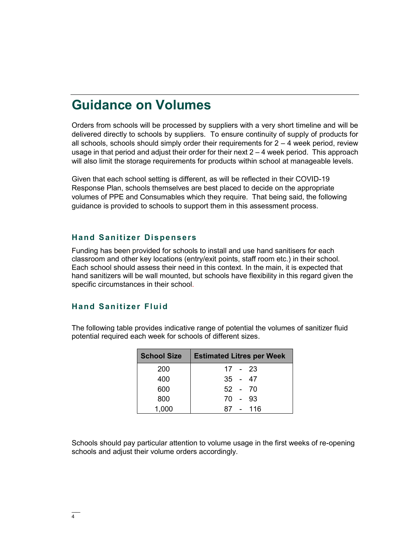### **Guidance on Volumes**

Orders from schools will be processed by suppliers with a very short timeline and will be delivered directly to schools by suppliers. To ensure continuity of supply of products for all schools, schools should simply order their requirements for  $2 - 4$  week period, review usage in that period and adjust their order for their next 2 – 4 week period. This approach will also limit the storage requirements for products within school at manageable levels.

Given that each school setting is different, as will be reflected in their COVID-19 Response Plan, schools themselves are best placed to decide on the appropriate volumes of PPE and Consumables which they require. That being said, the following guidance is provided to schools to support them in this assessment process.

#### **Hand Sanitizer Dispensers**

Funding has been provided for schools to install and use hand sanitisers for each classroom and other key locations (entry/exit points, staff room etc.) in their school. Each school should assess their need in this context. In the main, it is expected that hand sanitizers will be wall mounted, but schools have flexibility in this regard given the specific circumstances in their school.

#### **Hand Sanitizer Fluid**

The following table provides indicative range of potential the volumes of sanitizer fluid potential required each week for schools of different sizes.

| <b>School Size</b> | <b>Estimated Litres per Week</b> |
|--------------------|----------------------------------|
| 200                | 17 - 23                          |
| 400                | $35 - 47$                        |
| 600                | 52 - 70                          |
| 800                | 70 - 93                          |
| 1,000              | 87 - 116                         |

Schools should pay particular attention to volume usage in the first weeks of re-opening schools and adjust their volume orders accordingly.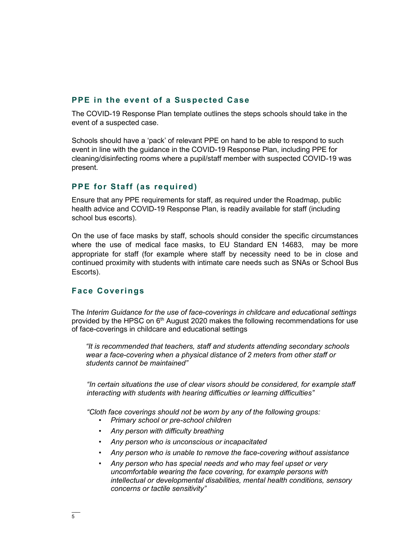#### **PPE in the event of a Suspected Case**

The COVID-19 Response Plan template outlines the steps schools should take in the event of a suspected case.

Schools should have a 'pack' of relevant PPE on hand to be able to respond to such event in line with the guidance in the COVID-19 Response Plan, including PPE for cleaning/disinfecting rooms where a pupil/staff member with suspected COVID-19 was present.

#### **PPE for Staff (as required)**

Ensure that any PPE requirements for staff, as required under the Roadmap, public health advice and COVID-19 Response Plan, is readily available for staff (including school bus escorts).

On the use of face masks by staff, schools should consider the specific circumstances where the use of medical face masks, to EU Standard EN 14683, may be more appropriate for staff (for example where staff by necessity need to be in close and continued proximity with students with intimate care needs such as SNAs or School Bus Escorts).

#### **Face Coverings**

The *Interim Guidance for the use of face-coverings in childcare and educational settings* provided by the HPSC on 6<sup>th</sup> August 2020 makes the following recommendations for use of face-coverings in childcare and educational settings

*"It is recommended that teachers, staff and students attending secondary schools wear a face-covering when a physical distance of 2 meters from other staff or students cannot be maintained"*

*"In certain situations the use of clear visors should be considered, for example staff interacting with students with hearing difficulties or learning difficulties"*

*"Cloth face coverings should not be worn by any of the following groups:* 

- *Primary school or pre-school children*
- *Any person with difficulty breathing*
- *Any person who is unconscious or incapacitated*
- *Any person who is unable to remove the face-covering without assistance*
- *Any person who has special needs and who may feel upset or very uncomfortable wearing the face covering, for example persons with intellectual or developmental disabilities, mental health conditions, sensory concerns or tactile sensitivity"*